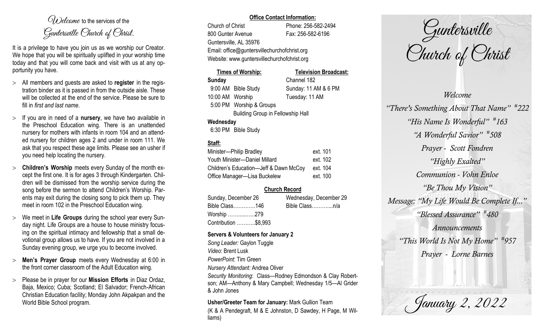$O(\lambda)$  elcame to the services of the Guntersville Church of Christ.

It is a privilege to have you join us as we worship our Creator. We hope that you will be spiritually uplifted in your worship time today and that you will come back and visit with us at any opportunity you have.

- All members and guests are asked to **register** in the registration binder as it is passed in from the outside aisle. These will be collected at the end of the service. Please be sure to fill in *first and last name*.
- $>$  If you are in need of a **nursery**, we have two available in the Preschool Education wing. There is an unattended nursery for mothers with infants in room 104 and an attended nursery for children ages 2 and under in room 111. We ask that you respect these age limits. Please see an usher if you need help locating the nursery.
- **Children's Worship** meets every Sunday of the month except the first one. It is for ages 3 through Kindergarten. Children will be dismissed from the worship service during the song before the sermon to attend Children's Worship. Parents may exit during the closing song to pick them up. They meet in room 102 in the Preschool Education wing.
- We meet in **Life Groups** during the school year every Sunday night. Life Groups are a house to house ministry focusing on the spiritual intimacy and fellowship that a small devotional group allows us to have. If you are not involved in a Sunday evening group, we urge you to become involved.
- **Men's Prayer Group** meets every Wednesday at 6:00 in the front corner classroom of the Adult Education wing.
- Please be in prayer for our **Mission Efforts** in Diaz Ordaz, Baja, Mexico; Cuba; Scotland; El Salvador; French-African Christian Education facility; Monday John Akpakpan and the World Bible School program.

#### **Office Contact Information:**

Church of Christ Phone: 256-582-2494 800 Gunter Avenue Fax: 256-582-6196 Guntersville, AL 35976 Email: office@guntersvillechurchofchrist.org Website: www.guntersvillechurchofchrist.org

# **Times of Worship: Television Broadcast: Sunday** Channel 182 9:00 AM Bible Study Sunday: 11 AM & 6 PM 10:00 AM Worship Tuesday: 11 AM 5:00 PM Worship & Groups Building Group in Fellowship Hall **Wednesday**

6:30 PM Bible Study

# **Staff:**

| Minister-Philip Bradley                | ext. 101 |
|----------------------------------------|----------|
| Youth Minister-Daniel Millard          | ext. 102 |
| Children's Education-Jeff & Dawn McCoy | ext. 104 |
| Office Manager-Lisa Buckelew           | ext. 100 |

# **Church Record**

| Sunday, December 26  |  | Wednesday, December 29 |  |
|----------------------|--|------------------------|--|
| Bible Class146       |  | Bible Classn/a         |  |
| Worship 279          |  |                        |  |
| Contribution \$8,993 |  |                        |  |

#### **Servers & Volunteers for January 2**

*Song Leader:* Gaylon Tuggle *Video*: Brent Lusk *PowerPoint*: Tim Green *Nursery Attendant:* Andrea Oliver *Security Monitoring*: Class—Rodney Edmondson & Clay Robertson; AM—Anthony & Mary Campbell; Wednesday 1/5—Al Grider & John Jones

**Usher/Greeter Team for January:** Mark Gullion Team (K & A Pendegraft, M & E Johnston, D Sawdey, H Page, M Williams)

Guntersville Church of Christ

*Welcome "There's Something About That Name" # 222 "His Name Is Wonderful" # 163 "A Wonderful Savior" # 508 Prayer - Scott Fondren "Highly Exalted" Communion - Vohn Enloe "Be Thou My Vision" Message: "My Life Would Be Complete If..." "Blessed Assurance" # 480 Announcements "This World Is Not My Home" # 957 Prayer - Lorne Barnes*

January 2, 2022